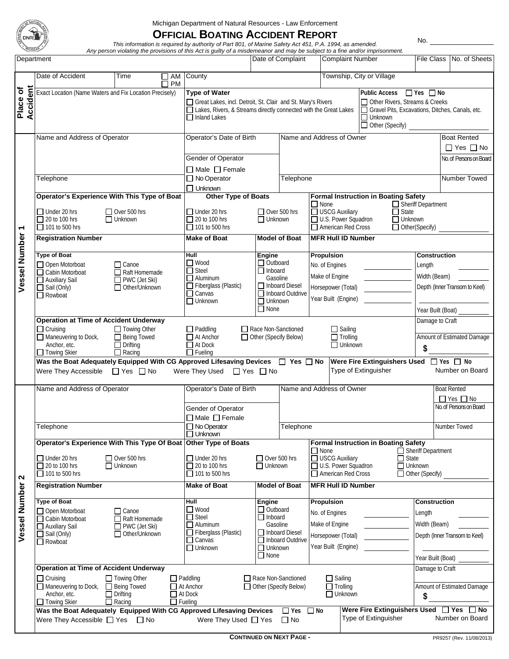

Michigan Department of Natural Resources - Law Enforcement

## **OFFICIAL BOATING ACCIDENT REPORT** *This information is required by authority of Part 801, of Marine Safety Act 451, P.A. 1994, as amended.*

*Any person violating the provisions of this Act is guilty of a misdemeanor and may be subject to a fine and/or imprisonment.*

| Department           |                                                                                                                                                                                                                                                        |                                                                                                                                                                                                                                                                                                                                                                       | Date of Complaint                                                                                                                                                                                                                          |                                                                                                   |                                                                                                                          | <b>Complaint Number</b>                                                                                               |                                                                                                                                                                             |                      |                                                     | File Class No. of Sheets                                                                  |                 |  |
|----------------------|--------------------------------------------------------------------------------------------------------------------------------------------------------------------------------------------------------------------------------------------------------|-----------------------------------------------------------------------------------------------------------------------------------------------------------------------------------------------------------------------------------------------------------------------------------------------------------------------------------------------------------------------|--------------------------------------------------------------------------------------------------------------------------------------------------------------------------------------------------------------------------------------------|---------------------------------------------------------------------------------------------------|--------------------------------------------------------------------------------------------------------------------------|-----------------------------------------------------------------------------------------------------------------------|-----------------------------------------------------------------------------------------------------------------------------------------------------------------------------|----------------------|-----------------------------------------------------|-------------------------------------------------------------------------------------------|-----------------|--|
|                      | Date of Accident                                                                                                                                                                                                                                       | County                                                                                                                                                                                                                                                                                                                                                                |                                                                                                                                                                                                                                            |                                                                                                   |                                                                                                                          | Township, City or Village                                                                                             |                                                                                                                                                                             |                      |                                                     |                                                                                           |                 |  |
| Accident<br>Place of | Exact Location (Name Waters and Fix Location Precisely)                                                                                                                                                                                                | <b>Type of Water</b><br>$\Box$ Yes $\Box$ No<br><b>Public Access</b><br>□ Other Rivers, Streams & Creeks<br>Great Lakes, incl. Detroit, St. Clair and St. Mary's Rivers<br>Lakes, Rivers, & Streams directly connected with the Great Lakes<br>Gravel Pits, Excavations, Ditches, Canals, etc.<br>$\overline{\Box}$ Unknown<br>$\Box$ Inland Lakes<br>Other (Specify) |                                                                                                                                                                                                                                            |                                                                                                   |                                                                                                                          |                                                                                                                       |                                                                                                                                                                             |                      |                                                     |                                                                                           |                 |  |
| Vessel Number 1      | Name and Address of Operator                                                                                                                                                                                                                           | Operator's Date of Birth<br>Gender of Operator                                                                                                                                                                                                                                                                                                                        |                                                                                                                                                                                                                                            |                                                                                                   |                                                                                                                          | Name and Address of Owner                                                                                             |                                                                                                                                                                             |                      |                                                     | <b>Boat Rented</b><br>$\Box$ Yes $\Box$ No<br>No. of Persons on Board                     |                 |  |
|                      | Telephone                                                                                                                                                                                                                                              | $\Box$ Male $\Box$ Female<br>$\Box$ No Operator<br>$\Box$ Unknown                                                                                                                                                                                                                                                                                                     |                                                                                                                                                                                                                                            | Telephone                                                                                         |                                                                                                                          |                                                                                                                       |                                                                                                                                                                             |                      | Number Towed                                        |                                                                                           |                 |  |
|                      | Operator's Experience With This Type of Boat<br>$\Box$ Under 20 hrs<br>$\Box$ Over 500 hrs<br>$\Box$ 20 to 100 hrs<br>$\Box$ Unknown<br>$\Box$ 101 to 500 hrs                                                                                          | Other Type of Boats<br>$\Box$ Under 20 hrs<br>$\Box$ 20 to 100 hrs<br>$\Box$ Unknown<br>$\Box$ 101 to 500 hrs                                                                                                                                                                                                                                                         |                                                                                                                                                                                                                                            | $\Box$ None<br>USCG Auxiliary<br>$\Box$ Over 500 hrs<br>U.S. Power Squadron<br>American Red Cross |                                                                                                                          | <b>Formal Instruction in Boating Safety</b><br>Sheriff Department<br>$\Box$ State<br>$\Box$ Unknown<br>Other(Specify) |                                                                                                                                                                             |                      |                                                     |                                                                                           |                 |  |
|                      | <b>Registration Number</b>                                                                                                                                                                                                                             | <b>Make of Boat</b>                                                                                                                                                                                                                                                                                                                                                   | <b>Model of Boat</b>                                                                                                                                                                                                                       |                                                                                                   | <b>MFR Hull ID Number</b>                                                                                                |                                                                                                                       |                                                                                                                                                                             |                      |                                                     |                                                                                           |                 |  |
|                      | <b>Type of Boat</b><br>Open Motorboat<br>$\Box$ Canoe<br>Cabin Motorboat<br>Raft Homemade<br>Auxiliary Sail<br>PWC (Jet Ski)<br>Sail (Only)<br>Other/Unknown<br>Rowboat                                                                                |                                                                                                                                                                                                                                                                                                                                                                       | Hull<br>Engine<br>$\Box$ Wood<br>$\Box$ Outboard<br>$\Box$ Steel<br>$\Box$ Inboard<br>Gasoline<br>$\Box$ Aluminum<br>Fiberglass (Plastic)<br>$\Box$ Canvas<br>$\Box$ Unknown<br>$\Box$ Unknown<br>$\Box$ None                              |                                                                                                   | Inboard Diesel<br>□ Inboard Outdrive                                                                                     | Propulsion<br>No. of Engines<br>Make of Engine<br>Horsepower (Total)<br>Year Built (Engine)                           |                                                                                                                                                                             |                      | Length                                              | <b>Construction</b><br>Width (Beam)<br>Depth (Inner Transom to Keel)<br>Year Built (Boat) |                 |  |
|                      | <b>Operation at Time of Accident Underway</b><br>$\Box$ Cruising<br>$\Box$ Towing Other<br>Being Towed<br>Maneuvering to Dock,<br>Anchor, etc.<br>Towing Skier                                                                                         | Race Non-Sanctioned<br>$\Box$ Paddling<br>$\Box$ At Anchor<br>Other (Specify Below)<br>$\Box$ At Dock<br>$\Box$ Fueling<br>Was the Boat Adequately Equipped With CG Approved Lifesaving Devices □ Yes □ No                                                                                                                                                            |                                                                                                                                                                                                                                            |                                                                                                   | $\Box$ Sailing<br>$\Box$ Trolling<br>$\Box$ Unknown<br>Were Fire Extinguishers Used JYes J No                            |                                                                                                                       |                                                                                                                                                                             |                      | Damage to Craft<br>Amount of Estimated Damage<br>\$ |                                                                                           |                 |  |
|                      | Were They Accessible □ Yes □ No                                                                                                                                                                                                                        |                                                                                                                                                                                                                                                                                                                                                                       | Were They Used                                                                                                                                                                                                                             | $\Box$ Yes $\Box$ No                                                                              |                                                                                                                          |                                                                                                                       |                                                                                                                                                                             | Type of Extinguisher |                                                     |                                                                                           | Number on Board |  |
| N<br>Vessel Number   | Name and Address of Operator                                                                                                                                                                                                                           | Operator's Date of Birth<br>Gender of Operator                                                                                                                                                                                                                                                                                                                        |                                                                                                                                                                                                                                            |                                                                                                   | Name and Address of Owner                                                                                                |                                                                                                                       |                                                                                                                                                                             |                      |                                                     | <b>Boat Rented</b><br>$\Box$ Yes $\Box$ No<br>No. of Persons on Board                     |                 |  |
|                      | Telephone                                                                                                                                                                                                                                              | $\Box$ Male $\Box$ Female<br>$\Box$ No Operator<br>$\Box$ Unknown                                                                                                                                                                                                                                                                                                     | Telephone                                                                                                                                                                                                                                  |                                                                                                   |                                                                                                                          |                                                                                                                       | Number Towed                                                                                                                                                                |                      |                                                     |                                                                                           |                 |  |
|                      | Operator's Experience With This Type Of Boat Other Type of Boats<br>$\Box$ Under 20 hrs<br>$\Box$ Over 500 hrs<br>$\Box$ 20 to 100 hrs<br>$\Box$ Unknown<br>$\Box$ 101 to 500 hrs                                                                      |                                                                                                                                                                                                                                                                                                                                                                       | $\Box$ Under 20 hrs<br>20 to 100 hrs<br>$\Box$ Unknown<br>$\Box$ 101 to 500 hrs                                                                                                                                                            |                                                                                                   | $\Box$ Over 500 hrs                                                                                                      |                                                                                                                       | <b>Formal Instruction in Boating Safety</b><br>□ None<br>□ USCG Auxiliary<br>$\Box$ State<br>U.S. Power Squadron<br>$\Box$ Unknown<br>American Red Cross<br>Other (Specify) |                      |                                                     | Sheriff Department                                                                        |                 |  |
|                      | <b>Registration Number</b>                                                                                                                                                                                                                             | <b>Make of Boat</b><br><b>Model of Boat</b>                                                                                                                                                                                                                                                                                                                           |                                                                                                                                                                                                                                            |                                                                                                   | <b>MFR Hull ID Number</b>                                                                                                |                                                                                                                       |                                                                                                                                                                             |                      |                                                     |                                                                                           |                 |  |
|                      | <b>Type of Boat</b><br>Open Motorboat<br>$\Box$ Canoe<br>Raft Homemade<br>Cabin Motorboat<br>$\Box$ PWC (Jet Ski)<br>Auxiliary Sail<br>Other/Unknown<br>$\Box$ Sail (Only)<br>$\Box$ Rowboat                                                           |                                                                                                                                                                                                                                                                                                                                                                       | Hull<br>Engine<br><b>■</b> Wood<br>$\Box$ Outboard<br>$\Box$ Steel<br>$\Box$ Inboard<br>Gasoline<br>$\Box$ Aluminum<br>$\Box$ Fiberglass (Plastic)<br>□ Inboard Diesel<br>$\Box$ Canvas<br>$\Box$ Unknown<br>$\Box$ Unknown<br>$\Box$ None |                                                                                                   | <b>Propulsion</b><br>No. of Engines<br>Make of Engine<br>Horsepower (Total)<br>□ Inboard Outdrive<br>Year Built (Engine) |                                                                                                                       |                                                                                                                                                                             | Length               |                                                     | Construction<br>Width (Beam)<br>Depth (Inner Transom to Keel)<br>Year Built (Boat)        |                 |  |
|                      | <b>Operation at Time of Accident Underway</b><br>$\Box$ Cruising<br>$\Box$ Towing Other                                                                                                                                                                | $\Box$ Paddling<br>Race Non-Sanctioned                                                                                                                                                                                                                                                                                                                                |                                                                                                                                                                                                                                            |                                                                                                   | $\Box$ Sailing                                                                                                           |                                                                                                                       |                                                                                                                                                                             |                      | Damage to Craft                                     |                                                                                           |                 |  |
|                      | Maneuvering to Dock, Being Towed<br>Anchor, etc.<br>$\Box$ Drifting<br>□ Towing Skier<br>$\Box$ Racing                                                                                                                                                 | □ Other (Specify Below)<br>$\Box$ At Anchor<br>$\Box$ At Dock<br>$\Box$ Fueling                                                                                                                                                                                                                                                                                       |                                                                                                                                                                                                                                            |                                                                                                   | $\Box$ Trolling<br>$\Box$ Unknown                                                                                        |                                                                                                                       |                                                                                                                                                                             |                      | Amount of Estimated Damage<br>\$                    |                                                                                           |                 |  |
|                      | Were Fire Extinguishers Used □ Yes □ No<br>Was the Boat Adequately Equipped With CG Approved Lifesaving Devices<br>$\Box$ Yes $\Box$ No<br>Type of Extinguisher<br>Were They Accessible $\Box$ Yes $\Box$ No<br>Were They Used $\Box$ Yes<br>$\Box$ No |                                                                                                                                                                                                                                                                                                                                                                       |                                                                                                                                                                                                                                            |                                                                                                   |                                                                                                                          |                                                                                                                       |                                                                                                                                                                             |                      |                                                     | Number on Board                                                                           |                 |  |

No.